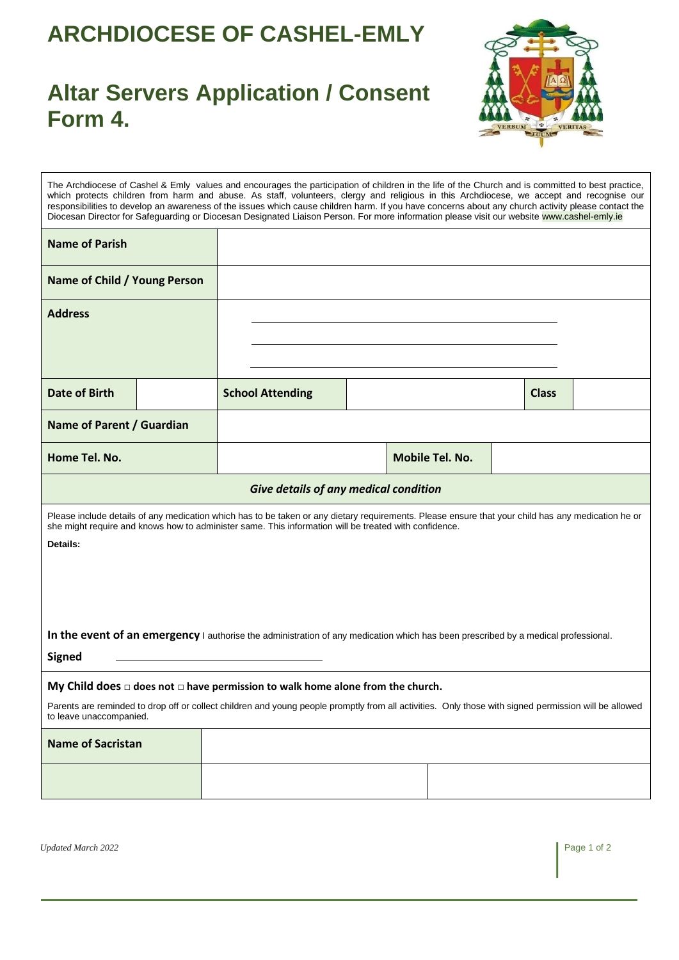## **ARCHDIOCESE OF CASHEL-EMLY**

## **Altar Servers Application / Consent Form 4.**



The Archdiocese of Cashel & Emly values and encourages the participation of children in the life of the Church and is committed to best practice, which protects children from harm and abuse. As staff, volunteers, clergy and religious in this Archdiocese, we accept and recognise our responsibilities to develop an awareness of the issues which cause children harm. If you have concerns about any church activity please contact the Diocesan Director for Safeguarding or Diocesan Designated Liaison Person. For more information please visit our website www.cashel-emly.ie **Name of Parish Name of Child / Young Person Address Date of Birth School Attending Class Class Name of Parent / Guardian Home Tel. No. Mobile Tel. No. Mobile Tel. No. Mobile Tel. No.** *Give details of any medical condition* Please include details of any medication which has to be taken or any dietary requirements. Please ensure that your child has any medication he or she might require and knows how to administer same. This information will be treated with confidence. **Details:** In the event of an emergency I authorise the administration of any medication which has been prescribed by a medical professional. **Signed My Child does □ does not □ have permission to walk home alone from the church.** Parents are reminded to drop off or collect children and young people promptly from all activities. Only those with signed permission will be allowed to leave unaccompanied. **Name of Sacristan** 

*Updated March 2022* Page 1 of 2